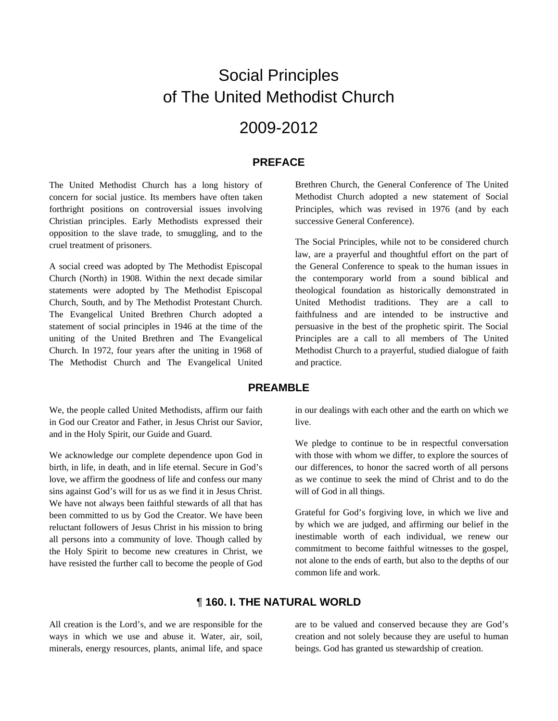# Social Principles of The United Methodist Church

## 2009-2012

#### **PREFACE**

The United Methodist Church has a long history of concern for social justice. Its members have often taken forthright positions on controversial issues involving Christian principles. Early Methodists expressed their opposition to the slave trade, to smuggling, and to the cruel treatment of prisoners.

A social creed was adopted by The Methodist Episcopal Church (North) in 1908. Within the next decade similar statements were adopted by The Methodist Episcopal Church, South, and by The Methodist Protestant Church. The Evangelical United Brethren Church adopted a statement of social principles in 1946 at the time of the uniting of the United Brethren and The Evangelical Church. In 1972, four years after the uniting in 1968 of The Methodist Church and The Evangelical United

We, the people called United Methodists, affirm our faith in God our Creator and Father, in Jesus Christ our Savior, and in the Holy Spirit, our Guide and Guard.

We acknowledge our complete dependence upon God in birth, in life, in death, and in life eternal. Secure in God's love, we affirm the goodness of life and confess our many sins against God's will for us as we find it in Jesus Christ. We have not always been faithful stewards of all that has been committed to us by God the Creator. We have been reluctant followers of Jesus Christ in his mission to bring all persons into a community of love. Though called by the Holy Spirit to become new creatures in Christ, we have resisted the further call to become the people of God

Brethren Church, the General Conference of The United Methodist Church adopted a new statement of Social Principles, which was revised in 1976 (and by each successive General Conference).

The Social Principles, while not to be considered church law, are a prayerful and thoughtful effort on the part of the General Conference to speak to the human issues in the contemporary world from a sound biblical and theological foundation as historically demonstrated in United Methodist traditions. They are a call to faithfulness and are intended to be instructive and persuasive in the best of the prophetic spirit. The Social Principles are a call to all members of The United Methodist Church to a prayerful, studied dialogue of faith and practice.

#### **PREAMBLE**

in our dealings with each other and the earth on which we live.

We pledge to continue to be in respectful conversation with those with whom we differ, to explore the sources of our differences, to honor the sacred worth of all persons as we continue to seek the mind of Christ and to do the will of God in all things.

Grateful for God's forgiving love, in which we live and by which we are judged, and affirming our belief in the inestimable worth of each individual, we renew our commitment to become faithful witnesses to the gospel, not alone to the ends of earth, but also to the depths of our common life and work.

#### ¶ **160. I. THE NATURAL WORLD**

All creation is the Lord's, and we are responsible for the ways in which we use and abuse it. Water, air, soil, minerals, energy resources, plants, animal life, and space

are to be valued and conserved because they are God's creation and not solely because they are useful to human beings. God has granted us stewardship of creation.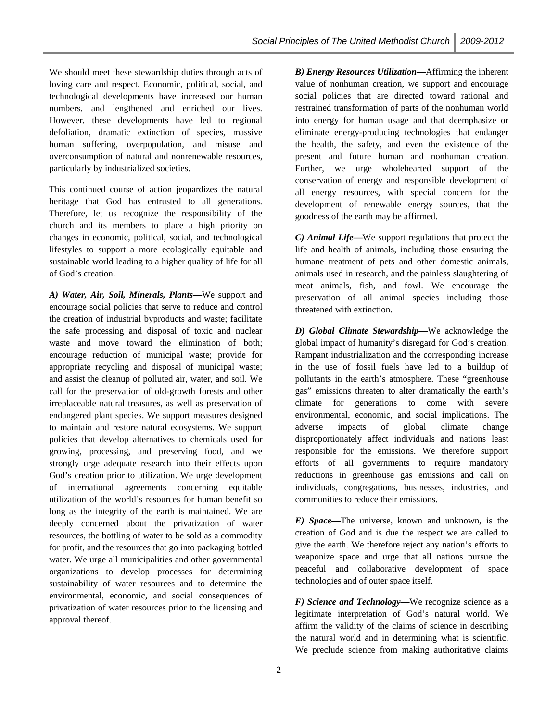We should meet these stewardship duties through acts of loving care and respect. Economic, political, social, and technological developments have increased our human numbers, and lengthened and enriched our lives. However, these developments have led to regional defoliation, dramatic extinction of species, massive human suffering, overpopulation, and misuse and overconsumption of natural and nonrenewable resources, particularly by industrialized societies.

This continued course of action jeopardizes the natural heritage that God has entrusted to all generations. Therefore, let us recognize the responsibility of the church and its members to place a high priority on changes in economic, political, social, and technological lifestyles to support a more ecologically equitable and sustainable world leading to a higher quality of life for all of God's creation.

*A) Water, Air, Soil, Minerals, Plants***—**We support and encourage social policies that serve to reduce and control the creation of industrial byproducts and waste; facilitate the safe processing and disposal of toxic and nuclear waste and move toward the elimination of both; encourage reduction of municipal waste; provide for appropriate recycling and disposal of municipal waste; and assist the cleanup of polluted air, water, and soil. We call for the preservation of old-growth forests and other irreplaceable natural treasures, as well as preservation of endangered plant species. We support measures designed to maintain and restore natural ecosystems. We support policies that develop alternatives to chemicals used for growing, processing, and preserving food, and we strongly urge adequate research into their effects upon God's creation prior to utilization. We urge development of international agreements concerning equitable utilization of the world's resources for human benefit so long as the integrity of the earth is maintained. We are deeply concerned about the privatization of water resources, the bottling of water to be sold as a commodity for profit, and the resources that go into packaging bottled water. We urge all municipalities and other governmental organizations to develop processes for determining sustainability of water resources and to determine the environmental, economic, and social consequences of privatization of water resources prior to the licensing and approval thereof.

*B) Energy Resources Utilization***—**Affirming the inherent value of nonhuman creation, we support and encourage social policies that are directed toward rational and restrained transformation of parts of the nonhuman world into energy for human usage and that deemphasize or eliminate energy-producing technologies that endanger the health, the safety, and even the existence of the present and future human and nonhuman creation. Further, we urge wholehearted support of the conservation of energy and responsible development of all energy resources, with special concern for the development of renewable energy sources, that the goodness of the earth may be affirmed.

*C) Animal Life***—**We support regulations that protect the life and health of animals, including those ensuring the humane treatment of pets and other domestic animals, animals used in research, and the painless slaughtering of meat animals, fish, and fowl. We encourage the preservation of all animal species including those threatened with extinction.

*D) Global Climate Stewardship***—**We acknowledge the global impact of humanity's disregard for God's creation. Rampant industrialization and the corresponding increase in the use of fossil fuels have led to a buildup of pollutants in the earth's atmosphere. These "greenhouse gas" emissions threaten to alter dramatically the earth's climate for generations to come with severe environmental, economic, and social implications. The adverse impacts of global climate change disproportionately affect individuals and nations least responsible for the emissions. We therefore support efforts of all governments to require mandatory reductions in greenhouse gas emissions and call on individuals, congregations, businesses, industries, and communities to reduce their emissions.

*E) Space***—**The universe, known and unknown, is the creation of God and is due the respect we are called to give the earth. We therefore reject any nation's efforts to weaponize space and urge that all nations pursue the peaceful and collaborative development of space technologies and of outer space itself.

*F) Science and Technology***—**We recognize science as a legitimate interpretation of God's natural world. We affirm the validity of the claims of science in describing the natural world and in determining what is scientific. We preclude science from making authoritative claims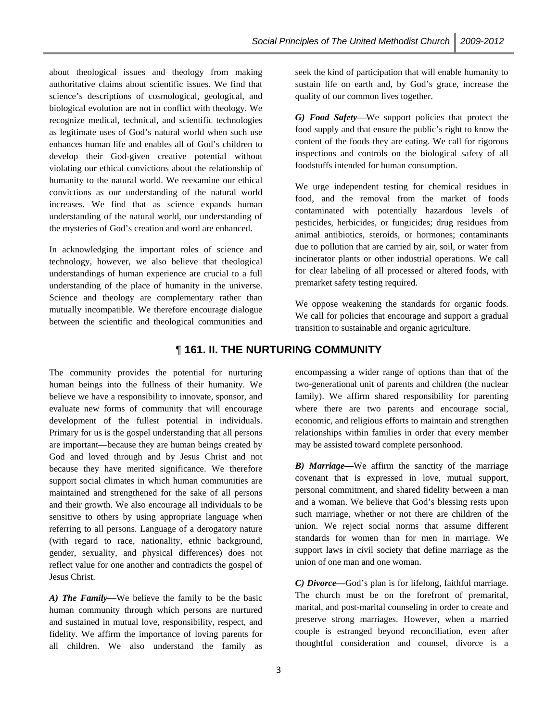about theological issues and theology from making authoritative claims about scientific issues. We find that science's descriptions of cosmological, geological, and biological evolution are not in conflict with theology. We recognize medical, technical, and scientific technologies as legitimate uses of God's natural world when such use enhances human life and enables all of God's children to develop their God-given creative potential without violating our ethical convictions about the relationship of humanity to the natural world. We reexamine our ethical convictions as our understanding of the natural world increases. We find that as science expands human understanding of the natural world, our understanding of the mysteries of God's creation and word are enhanced.

In acknowledging the important roles of science and technology, however, we also believe that theological understandings of human experience are crucial to a full understanding of the place of humanity in the universe. Science and theology are complementary rather than mutually incompatible. We therefore encourage dialogue between the scientific and theological communities and

seek the kind of participation that will enable humanity to sustain life on earth and, by God's grace, increase the quality of our common lives together.

*G) Food Safety***—**We support policies that protect the food supply and that ensure the public's right to know the content of the foods they are eating. We call for rigorous inspections and controls on the biological safety of all foodstuffs intended for human consumption.

We urge independent testing for chemical residues in food, and the removal from the market of foods contaminated with potentially hazardous levels of pesticides, herbicides, or fungicides; drug residues from animal antibiotics, steroids, or hormones; contaminants due to pollution that are carried by air, soil, or water from incinerator plants or other industrial operations. We call for clear labeling of all processed or altered foods, with premarket safety testing required.

We oppose weakening the standards for organic foods. We call for policies that encourage and support a gradual transition to sustainable and organic agriculture.

#### ¶ **161. II. THE NURTURING COMMUNITY**

The community provides the potential for nurturing human beings into the fullness of their humanity. We believe we have a responsibility to innovate, sponsor, and evaluate new forms of community that will encourage development of the fullest potential in individuals. Primary for us is the gospel understanding that all persons are important—because they are human beings created by God and loved through and by Jesus Christ and not because they have merited significance. We therefore support social climates in which human communities are maintained and strengthened for the sake of all persons and their growth. We also encourage all individuals to be sensitive to others by using appropriate language when referring to all persons. Language of a derogatory nature (with regard to race, nationality, ethnic background, gender, sexuality, and physical differences) does not reflect value for one another and contradicts the gospel of Jesus Christ.

*A) The Family***—**We believe the family to be the basic human community through which persons are nurtured and sustained in mutual love, responsibility, respect, and fidelity. We affirm the importance of loving parents for all children. We also understand the family as

encompassing a wider range of options than that of the two-generational unit of parents and children (the nuclear family). We affirm shared responsibility for parenting where there are two parents and encourage social, economic, and religious efforts to maintain and strengthen relationships within families in order that every member may be assisted toward complete personhood.

*B) Marriage*—We affirm the sanctity of the marriage covenant that is expressed in love, mutual support, personal commitment, and shared fidelity between a man and a woman. We believe that God's blessing rests upon such marriage, whether or not there are children of the union. We reject social norms that assume different standards for women than for men in marriage. We support laws in civil society that define marriage as the union of one man and one woman.

*C) Divorce***—**God's plan is for lifelong, faithful marriage. The church must be on the forefront of premarital, marital, and post-marital counseling in order to create and preserve strong marriages. However, when a married couple is estranged beyond reconciliation, even after thoughtful consideration and counsel, divorce is a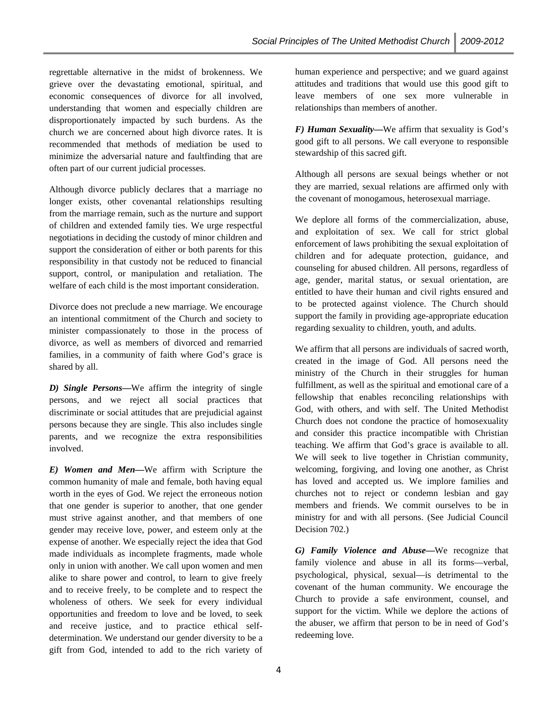regrettable alternative in the midst of brokenness. We grieve over the devastating emotional, spiritual, and economic consequences of divorce for all involved, understanding that women and especially children are disproportionately impacted by such burdens. As the church we are concerned about high divorce rates. It is recommended that methods of mediation be used to minimize the adversarial nature and faultfinding that are often part of our current judicial processes.

Although divorce publicly declares that a marriage no longer exists, other covenantal relationships resulting from the marriage remain, such as the nurture and support of children and extended family ties. We urge respectful negotiations in deciding the custody of minor children and support the consideration of either or both parents for this responsibility in that custody not be reduced to financial support, control, or manipulation and retaliation. The welfare of each child is the most important consideration.

Divorce does not preclude a new marriage. We encourage an intentional commitment of the Church and society to minister compassionately to those in the process of divorce, as well as members of divorced and remarried families, in a community of faith where God's grace is shared by all.

*D) Single Persons***—**We affirm the integrity of single persons, and we reject all social practices that discriminate or social attitudes that are prejudicial against persons because they are single. This also includes single parents, and we recognize the extra responsibilities involved.

*E) Women and Men—*We affirm with Scripture the common humanity of male and female, both having equal worth in the eyes of God. We reject the erroneous notion that one gender is superior to another, that one gender must strive against another, and that members of one gender may receive love, power, and esteem only at the expense of another. We especially reject the idea that God made individuals as incomplete fragments, made whole only in union with another. We call upon women and men alike to share power and control, to learn to give freely and to receive freely, to be complete and to respect the wholeness of others. We seek for every individual opportunities and freedom to love and be loved, to seek and receive justice, and to practice ethical selfdetermination. We understand our gender diversity to be a gift from God, intended to add to the rich variety of

human experience and perspective; and we guard against attitudes and traditions that would use this good gift to leave members of one sex more vulnerable in relationships than members of another.

*F) Human Sexuality***—**We affirm that sexuality is God's good gift to all persons. We call everyone to responsible stewardship of this sacred gift.

Although all persons are sexual beings whether or not they are married, sexual relations are affirmed only with the covenant of monogamous, heterosexual marriage.

We deplore all forms of the commercialization, abuse, and exploitation of sex. We call for strict global enforcement of laws prohibiting the sexual exploitation of children and for adequate protection, guidance, and counseling for abused children. All persons, regardless of age, gender, marital status, or sexual orientation, are entitled to have their human and civil rights ensured and to be protected against violence. The Church should support the family in providing age-appropriate education regarding sexuality to children, youth, and adults.

We affirm that all persons are individuals of sacred worth, created in the image of God. All persons need the ministry of the Church in their struggles for human fulfillment, as well as the spiritual and emotional care of a fellowship that enables reconciling relationships with God, with others, and with self. The United Methodist Church does not condone the practice of homosexuality and consider this practice incompatible with Christian teaching. We affirm that God's grace is available to all. We will seek to live together in Christian community, welcoming, forgiving, and loving one another, as Christ has loved and accepted us. We implore families and churches not to reject or condemn lesbian and gay members and friends. We commit ourselves to be in ministry for and with all persons. (See Judicial Council Decision 702.)

*G) Family Violence and Abuse***—**We recognize that family violence and abuse in all its forms—verbal, psychological, physical, sexual—is detrimental to the covenant of the human community. We encourage the Church to provide a safe environment, counsel, and support for the victim. While we deplore the actions of the abuser, we affirm that person to be in need of God's redeeming love.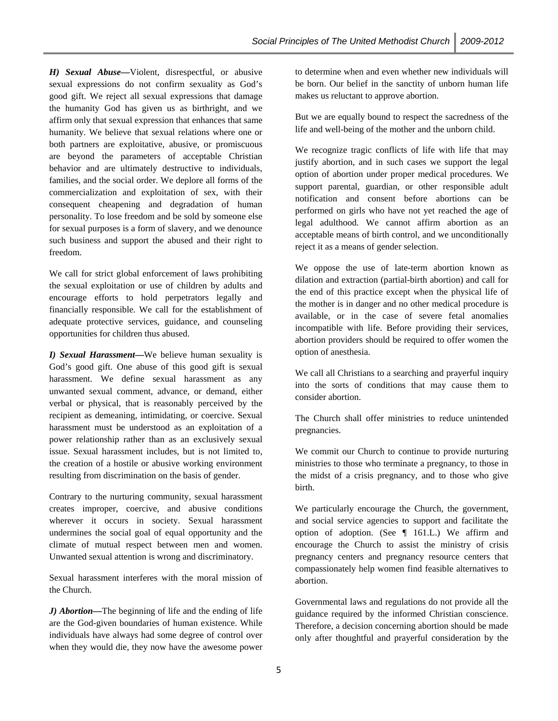*H) Sexual Abuse***—**Violent, disrespectful, or abusive sexual expressions do not confirm sexuality as God's good gift. We reject all sexual expressions that damage the humanity God has given us as birthright, and we affirm only that sexual expression that enhances that same humanity. We believe that sexual relations where one or both partners are exploitative, abusive, or promiscuous are beyond the parameters of acceptable Christian behavior and are ultimately destructive to individuals, families, and the social order. We deplore all forms of the commercialization and exploitation of sex, with their consequent cheapening and degradation of human personality. To lose freedom and be sold by someone else for sexual purposes is a form of slavery, and we denounce such business and support the abused and their right to freedom.

We call for strict global enforcement of laws prohibiting the sexual exploitation or use of children by adults and encourage efforts to hold perpetrators legally and financially responsible. We call for the establishment of adequate protective services, guidance, and counseling opportunities for children thus abused.

*I) Sexual Harassment***—**We believe human sexuality is God's good gift. One abuse of this good gift is sexual harassment. We define sexual harassment as any unwanted sexual comment, advance, or demand, either verbal or physical, that is reasonably perceived by the recipient as demeaning, intimidating, or coercive. Sexual harassment must be understood as an exploitation of a power relationship rather than as an exclusively sexual issue. Sexual harassment includes, but is not limited to, the creation of a hostile or abusive working environment resulting from discrimination on the basis of gender.

Contrary to the nurturing community, sexual harassment creates improper, coercive, and abusive conditions wherever it occurs in society. Sexual harassment undermines the social goal of equal opportunity and the climate of mutual respect between men and women. Unwanted sexual attention is wrong and discriminatory.

Sexual harassment interferes with the moral mission of the Church.

*J) Abortion***—**The beginning of life and the ending of life are the God-given boundaries of human existence. While individuals have always had some degree of control over when they would die, they now have the awesome power to determine when and even whether new individuals will be born. Our belief in the sanctity of unborn human life makes us reluctant to approve abortion.

But we are equally bound to respect the sacredness of the life and well-being of the mother and the unborn child.

We recognize tragic conflicts of life with life that may justify abortion, and in such cases we support the legal option of abortion under proper medical procedures. We support parental, guardian, or other responsible adult notification and consent before abortions can be performed on girls who have not yet reached the age of legal adulthood. We cannot affirm abortion as an acceptable means of birth control, and we unconditionally reject it as a means of gender selection.

We oppose the use of late-term abortion known as dilation and extraction (partial-birth abortion) and call for the end of this practice except when the physical life of the mother is in danger and no other medical procedure is available, or in the case of severe fetal anomalies incompatible with life. Before providing their services, abortion providers should be required to offer women the option of anesthesia.

We call all Christians to a searching and prayerful inquiry into the sorts of conditions that may cause them to consider abortion.

The Church shall offer ministries to reduce unintended pregnancies.

We commit our Church to continue to provide nurturing ministries to those who terminate a pregnancy, to those in the midst of a crisis pregnancy, and to those who give birth.

We particularly encourage the Church, the government, and social service agencies to support and facilitate the option of adoption. (See ¶ 161.L.) We affirm and encourage the Church to assist the ministry of crisis pregnancy centers and pregnancy resource centers that compassionately help women find feasible alternatives to abortion.

Governmental laws and regulations do not provide all the guidance required by the informed Christian conscience. Therefore, a decision concerning abortion should be made only after thoughtful and prayerful consideration by the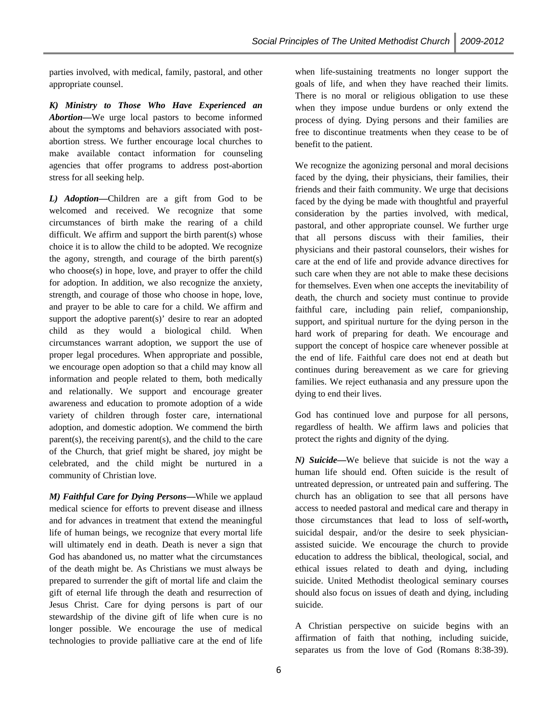parties involved, with medical, family, pastoral, and other appropriate counsel.

*K) Ministry to Those Who Have Experienced an Abortion***—**We urge local pastors to become informed about the symptoms and behaviors associated with postabortion stress. We further encourage local churches to make available contact information for counseling agencies that offer programs to address post-abortion stress for all seeking help.

*L) Adoption***—**Children are a gift from God to be welcomed and received. We recognize that some circumstances of birth make the rearing of a child difficult. We affirm and support the birth parent(s) whose choice it is to allow the child to be adopted. We recognize the agony, strength, and courage of the birth parent(s) who choose(s) in hope, love, and prayer to offer the child for adoption. In addition, we also recognize the anxiety, strength, and courage of those who choose in hope, love, and prayer to be able to care for a child. We affirm and support the adoptive parent(s)' desire to rear an adopted child as they would a biological child. When circumstances warrant adoption, we support the use of proper legal procedures. When appropriate and possible, we encourage open adoption so that a child may know all information and people related to them, both medically and relationally. We support and encourage greater awareness and education to promote adoption of a wide variety of children through foster care, international adoption, and domestic adoption. We commend the birth parent(s), the receiving parent(s), and the child to the care of the Church, that grief might be shared, joy might be celebrated, and the child might be nurtured in a community of Christian love.

*M) Faithful Care for Dying Persons***—**While we applaud medical science for efforts to prevent disease and illness and for advances in treatment that extend the meaningful life of human beings, we recognize that every mortal life will ultimately end in death. Death is never a sign that God has abandoned us, no matter what the circumstances of the death might be. As Christians we must always be prepared to surrender the gift of mortal life and claim the gift of eternal life through the death and resurrection of Jesus Christ. Care for dying persons is part of our stewardship of the divine gift of life when cure is no longer possible. We encourage the use of medical technologies to provide palliative care at the end of life

when life-sustaining treatments no longer support the goals of life, and when they have reached their limits. There is no moral or religious obligation to use these when they impose undue burdens or only extend the process of dying. Dying persons and their families are free to discontinue treatments when they cease to be of benefit to the patient.

We recognize the agonizing personal and moral decisions faced by the dying, their physicians, their families, their friends and their faith community. We urge that decisions faced by the dying be made with thoughtful and prayerful consideration by the parties involved, with medical, pastoral, and other appropriate counsel. We further urge that all persons discuss with their families, their physicians and their pastoral counselors, their wishes for care at the end of life and provide advance directives for such care when they are not able to make these decisions for themselves. Even when one accepts the inevitability of death, the church and society must continue to provide faithful care, including pain relief, companionship, support, and spiritual nurture for the dying person in the hard work of preparing for death. We encourage and support the concept of hospice care whenever possible at the end of life. Faithful care does not end at death but continues during bereavement as we care for grieving families. We reject euthanasia and any pressure upon the dying to end their lives.

God has continued love and purpose for all persons, regardless of health. We affirm laws and policies that protect the rights and dignity of the dying.

*N) Suicide***—**We believe that suicide is not the way a human life should end. Often suicide is the result of untreated depression, or untreated pain and suffering. The church has an obligation to see that all persons have access to needed pastoral and medical care and therapy in those circumstances that lead to loss of self-worth**,**  suicidal despair, and/or the desire to seek physicianassisted suicide. We encourage the church to provide education to address the biblical, theological, social, and ethical issues related to death and dying, including suicide. United Methodist theological seminary courses should also focus on issues of death and dying, including suicide.

A Christian perspective on suicide begins with an affirmation of faith that nothing, including suicide, separates us from the love of God (Romans 8:38-39).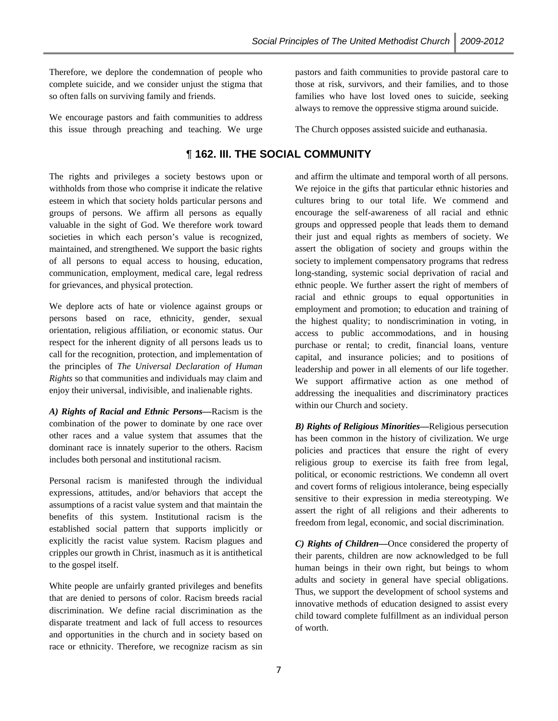Therefore, we deplore the condemnation of people who complete suicide, and we consider unjust the stigma that so often falls on surviving family and friends.

We encourage pastors and faith communities to address this issue through preaching and teaching. We urge

¶ **162. III. THE SOCIAL COMMUNITY** 

The rights and privileges a society bestows upon or withholds from those who comprise it indicate the relative esteem in which that society holds particular persons and groups of persons. We affirm all persons as equally valuable in the sight of God. We therefore work toward societies in which each person's value is recognized, maintained, and strengthened. We support the basic rights of all persons to equal access to housing, education, communication, employment, medical care, legal redress for grievances, and physical protection.

We deplore acts of hate or violence against groups or persons based on race, ethnicity, gender, sexual orientation, religious affiliation, or economic status. Our respect for the inherent dignity of all persons leads us to call for the recognition, protection, and implementation of the principles of *The Universal Declaration of Human Rights* so that communities and individuals may claim and enjoy their universal, indivisible, and inalienable rights.

*A) Rights of Racial and Ethnic Persons—*Racism is the combination of the power to dominate by one race over other races and a value system that assumes that the dominant race is innately superior to the others. Racism includes both personal and institutional racism.

Personal racism is manifested through the individual expressions, attitudes, and/or behaviors that accept the assumptions of a racist value system and that maintain the benefits of this system. Institutional racism is the established social pattern that supports implicitly or explicitly the racist value system. Racism plagues and cripples our growth in Christ, inasmuch as it is antithetical to the gospel itself.

White people are unfairly granted privileges and benefits that are denied to persons of color. Racism breeds racial discrimination. We define racial discrimination as the disparate treatment and lack of full access to resources and opportunities in the church and in society based on race or ethnicity. Therefore, we recognize racism as sin pastors and faith communities to provide pastoral care to those at risk, survivors, and their families, and to those families who have lost loved ones to suicide, seeking always to remove the oppressive stigma around suicide.

The Church opposes assisted suicide and euthanasia.

and affirm the ultimate and temporal worth of all persons. We rejoice in the gifts that particular ethnic histories and cultures bring to our total life. We commend and encourage the self-awareness of all racial and ethnic groups and oppressed people that leads them to demand their just and equal rights as members of society. We assert the obligation of society and groups within the society to implement compensatory programs that redress long-standing, systemic social deprivation of racial and ethnic people. We further assert the right of members of racial and ethnic groups to equal opportunities in employment and promotion; to education and training of the highest quality; to nondiscrimination in voting, in access to public accommodations, and in housing purchase or rental; to credit, financial loans, venture capital, and insurance policies; and to positions of leadership and power in all elements of our life together. We support affirmative action as one method of addressing the inequalities and discriminatory practices within our Church and society.

*B) Rights of Religious Minorities***—**Religious persecution has been common in the history of civilization. We urge policies and practices that ensure the right of every religious group to exercise its faith free from legal, political, or economic restrictions. We condemn all overt and covert forms of religious intolerance, being especially sensitive to their expression in media stereotyping. We assert the right of all religions and their adherents to freedom from legal, economic, and social discrimination.

*C) Rights of Children***—**Once considered the property of their parents, children are now acknowledged to be full human beings in their own right, but beings to whom adults and society in general have special obligations. Thus, we support the development of school systems and innovative methods of education designed to assist every child toward complete fulfillment as an individual person of worth.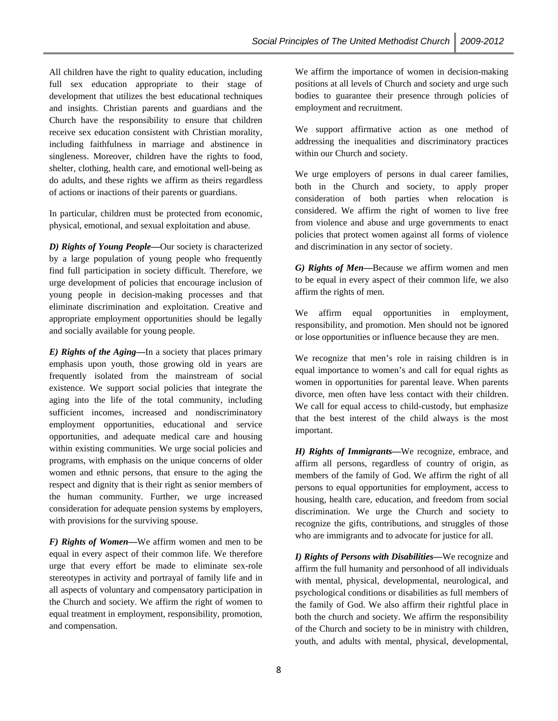All children have the right to quality education, including full sex education appropriate to their stage of development that utilizes the best educational techniques and insights. Christian parents and guardians and the Church have the responsibility to ensure that children receive sex education consistent with Christian morality, including faithfulness in marriage and abstinence in singleness. Moreover, children have the rights to food, shelter, clothing, health care, and emotional well-being as do adults, and these rights we affirm as theirs regardless of actions or inactions of their parents or guardians.

In particular, children must be protected from economic, physical, emotional, and sexual exploitation and abuse.

*D) Rights of Young People***—**Our society is characterized by a large population of young people who frequently find full participation in society difficult. Therefore, we urge development of policies that encourage inclusion of young people in decision-making processes and that eliminate discrimination and exploitation. Creative and appropriate employment opportunities should be legally and socially available for young people.

*E) Rights of the Aging***—**In a society that places primary emphasis upon youth, those growing old in years are frequently isolated from the mainstream of social existence. We support social policies that integrate the aging into the life of the total community, including sufficient incomes, increased and nondiscriminatory employment opportunities, educational and service opportunities, and adequate medical care and housing within existing communities. We urge social policies and programs, with emphasis on the unique concerns of older women and ethnic persons, that ensure to the aging the respect and dignity that is their right as senior members of the human community. Further, we urge increased consideration for adequate pension systems by employers, with provisions for the surviving spouse.

*F)* Rights of Women—We affirm women and men to be equal in every aspect of their common life. We therefore urge that every effort be made to eliminate sex-role stereotypes in activity and portrayal of family life and in all aspects of voluntary and compensatory participation in the Church and society. We affirm the right of women to equal treatment in employment, responsibility, promotion, and compensation.

We affirm the importance of women in decision-making positions at all levels of Church and society and urge such bodies to guarantee their presence through policies of employment and recruitment.

We support affirmative action as one method of addressing the inequalities and discriminatory practices within our Church and society.

We urge employers of persons in dual career families, both in the Church and society, to apply proper consideration of both parties when relocation is considered. We affirm the right of women to live free from violence and abuse and urge governments to enact policies that protect women against all forms of violence and discrimination in any sector of society.

*G) Rights of Men***—**Because we affirm women and men to be equal in every aspect of their common life, we also affirm the rights of men.

We affirm equal opportunities in employment, responsibility, and promotion. Men should not be ignored or lose opportunities or influence because they are men.

We recognize that men's role in raising children is in equal importance to women's and call for equal rights as women in opportunities for parental leave. When parents divorce, men often have less contact with their children. We call for equal access to child-custody, but emphasize that the best interest of the child always is the most important.

*H) Rights of Immigrants***—**We recognize, embrace, and affirm all persons, regardless of country of origin, as members of the family of God. We affirm the right of all persons to equal opportunities for employment, access to housing, health care, education, and freedom from social discrimination. We urge the Church and society to recognize the gifts, contributions, and struggles of those who are immigrants and to advocate for justice for all.

*I) Rights of Persons with Disabilities***—**We recognize and affirm the full humanity and personhood of all individuals with mental, physical, developmental, neurological, and psychological conditions or disabilities as full members of the family of God. We also affirm their rightful place in both the church and society. We affirm the responsibility of the Church and society to be in ministry with children, youth, and adults with mental, physical, developmental,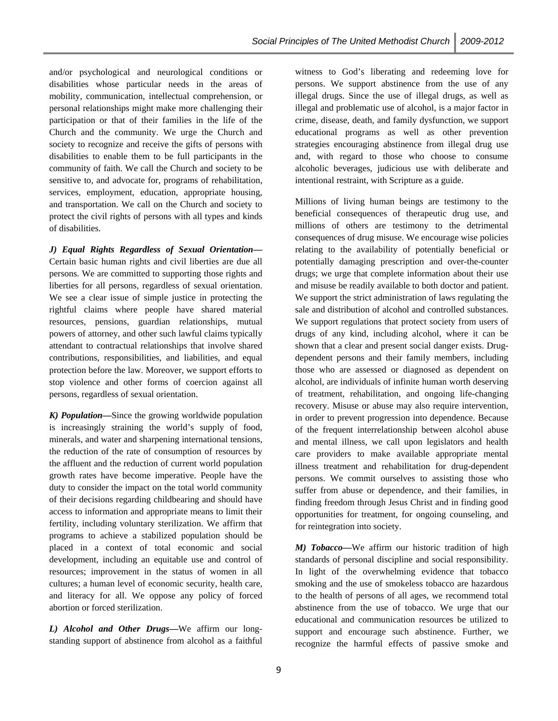and/or psychological and neurological conditions or disabilities whose particular needs in the areas of mobility, communication, intellectual comprehension, or personal relationships might make more challenging their participation or that of their families in the life of the Church and the community. We urge the Church and society to recognize and receive the gifts of persons with disabilities to enable them to be full participants in the community of faith. We call the Church and society to be sensitive to, and advocate for, programs of rehabilitation, services, employment, education, appropriate housing, and transportation. We call on the Church and society to protect the civil rights of persons with all types and kinds of disabilities.

*J) Equal Rights Regardless of Sexual Orientation***—** Certain basic human rights and civil liberties are due all persons. We are committed to supporting those rights and liberties for all persons, regardless of sexual orientation. We see a clear issue of simple justice in protecting the rightful claims where people have shared material resources, pensions, guardian relationships, mutual powers of attorney, and other such lawful claims typically attendant to contractual relationships that involve shared contributions, responsibilities, and liabilities, and equal protection before the law. Moreover, we support efforts to stop violence and other forms of coercion against all persons, regardless of sexual orientation.

*K) Population***—**Since the growing worldwide population is increasingly straining the world's supply of food, minerals, and water and sharpening international tensions, the reduction of the rate of consumption of resources by the affluent and the reduction of current world population growth rates have become imperative. People have the duty to consider the impact on the total world community of their decisions regarding childbearing and should have access to information and appropriate means to limit their fertility, including voluntary sterilization. We affirm that programs to achieve a stabilized population should be placed in a context of total economic and social development, including an equitable use and control of resources; improvement in the status of women in all cultures; a human level of economic security, health care, and literacy for all. We oppose any policy of forced abortion or forced sterilization.

*L) Alcohol and Other Drugs***—**We affirm our longstanding support of abstinence from alcohol as a faithful

witness to God's liberating and redeeming love for persons. We support abstinence from the use of any illegal drugs. Since the use of illegal drugs, as well as illegal and problematic use of alcohol, is a major factor in crime, disease, death, and family dysfunction, we support educational programs as well as other prevention strategies encouraging abstinence from illegal drug use and, with regard to those who choose to consume alcoholic beverages, judicious use with deliberate and intentional restraint, with Scripture as a guide.

Millions of living human beings are testimony to the beneficial consequences of therapeutic drug use, and millions of others are testimony to the detrimental consequences of drug misuse. We encourage wise policies relating to the availability of potentially beneficial or potentially damaging prescription and over-the-counter drugs; we urge that complete information about their use and misuse be readily available to both doctor and patient. We support the strict administration of laws regulating the sale and distribution of alcohol and controlled substances. We support regulations that protect society from users of drugs of any kind, including alcohol, where it can be shown that a clear and present social danger exists. Drugdependent persons and their family members, including those who are assessed or diagnosed as dependent on alcohol, are individuals of infinite human worth deserving of treatment, rehabilitation, and ongoing life-changing recovery. Misuse or abuse may also require intervention, in order to prevent progression into dependence. Because of the frequent interrelationship between alcohol abuse and mental illness, we call upon legislators and health care providers to make available appropriate mental illness treatment and rehabilitation for drug-dependent persons. We commit ourselves to assisting those who suffer from abuse or dependence, and their families, in finding freedom through Jesus Christ and in finding good opportunities for treatment, for ongoing counseling, and for reintegration into society.

*M) Tobacco***—**We affirm our historic tradition of high standards of personal discipline and social responsibility. In light of the overwhelming evidence that tobacco smoking and the use of smokeless tobacco are hazardous to the health of persons of all ages, we recommend total abstinence from the use of tobacco. We urge that our educational and communication resources be utilized to support and encourage such abstinence. Further, we recognize the harmful effects of passive smoke and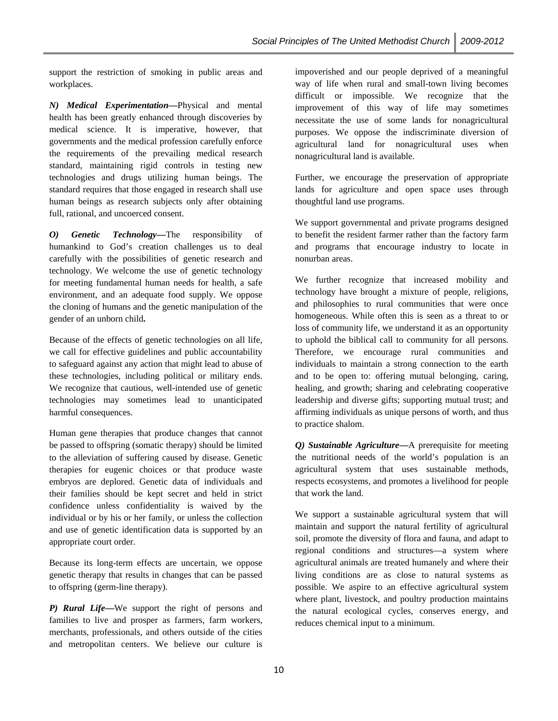support the restriction of smoking in public areas and workplaces.

*N) Medical Experimentation***—**Physical and mental health has been greatly enhanced through discoveries by medical science. It is imperative, however, that governments and the medical profession carefully enforce the requirements of the prevailing medical research standard, maintaining rigid controls in testing new technologies and drugs utilizing human beings. The standard requires that those engaged in research shall use human beings as research subjects only after obtaining full, rational, and uncoerced consent.

*O) Genetic Technology***—**The responsibility of humankind to God's creation challenges us to deal carefully with the possibilities of genetic research and technology. We welcome the use of genetic technology for meeting fundamental human needs for health, a safe environment, and an adequate food supply. We oppose the cloning of humans and the genetic manipulation of the gender of an unborn child**.** 

Because of the effects of genetic technologies on all life, we call for effective guidelines and public accountability to safeguard against any action that might lead to abuse of these technologies, including political or military ends. We recognize that cautious, well-intended use of genetic technologies may sometimes lead to unanticipated harmful consequences.

Human gene therapies that produce changes that cannot be passed to offspring (somatic therapy) should be limited to the alleviation of suffering caused by disease. Genetic therapies for eugenic choices or that produce waste embryos are deplored. Genetic data of individuals and their families should be kept secret and held in strict confidence unless confidentiality is waived by the individual or by his or her family, or unless the collection and use of genetic identification data is supported by an appropriate court order.

Because its long-term effects are uncertain, we oppose genetic therapy that results in changes that can be passed to offspring (germ-line therapy).

*P) Rural Life***—**We support the right of persons and families to live and prosper as farmers, farm workers, merchants, professionals, and others outside of the cities and metropolitan centers. We believe our culture is

impoverished and our people deprived of a meaningful way of life when rural and small-town living becomes difficult or impossible. We recognize that the improvement of this way of life may sometimes necessitate the use of some lands for nonagricultural purposes. We oppose the indiscriminate diversion of agricultural land for nonagricultural uses when nonagricultural land is available.

Further, we encourage the preservation of appropriate lands for agriculture and open space uses through thoughtful land use programs.

We support governmental and private programs designed to benefit the resident farmer rather than the factory farm and programs that encourage industry to locate in nonurban areas.

We further recognize that increased mobility and technology have brought a mixture of people, religions, and philosophies to rural communities that were once homogeneous. While often this is seen as a threat to or loss of community life, we understand it as an opportunity to uphold the biblical call to community for all persons. Therefore, we encourage rural communities and individuals to maintain a strong connection to the earth and to be open to: offering mutual belonging, caring, healing, and growth; sharing and celebrating cooperative leadership and diverse gifts; supporting mutual trust; and affirming individuals as unique persons of worth, and thus to practice shalom.

*Q) Sustainable Agriculture***—**A prerequisite for meeting the nutritional needs of the world's population is an agricultural system that uses sustainable methods, respects ecosystems, and promotes a livelihood for people that work the land.

We support a sustainable agricultural system that will maintain and support the natural fertility of agricultural soil, promote the diversity of flora and fauna, and adapt to regional conditions and structures—a system where agricultural animals are treated humanely and where their living conditions are as close to natural systems as possible. We aspire to an effective agricultural system where plant, livestock, and poultry production maintains the natural ecological cycles, conserves energy, and reduces chemical input to a minimum.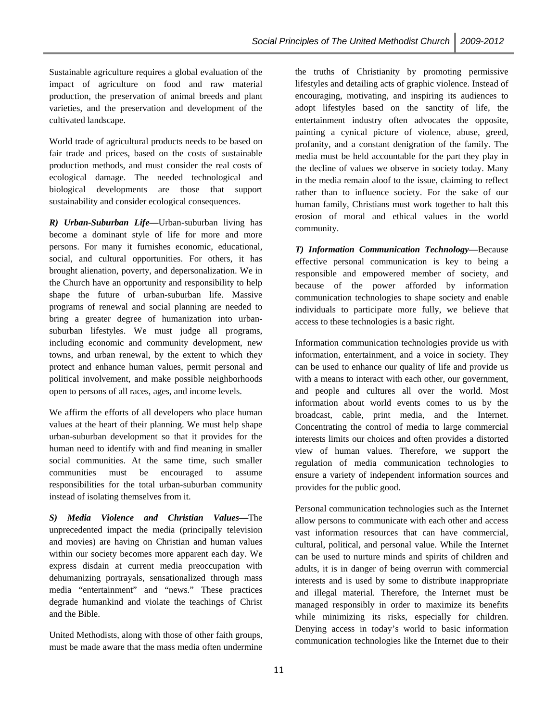Sustainable agriculture requires a global evaluation of the impact of agriculture on food and raw material production, the preservation of animal breeds and plant varieties, and the preservation and development of the cultivated landscape.

World trade of agricultural products needs to be based on fair trade and prices, based on the costs of sustainable production methods, and must consider the real costs of ecological damage. The needed technological and biological developments are those that support sustainability and consider ecological consequences.

*R) Urban-Suburban Life***—**Urban-suburban living has become a dominant style of life for more and more persons. For many it furnishes economic, educational, social, and cultural opportunities. For others, it has brought alienation, poverty, and depersonalization. We in the Church have an opportunity and responsibility to help shape the future of urban-suburban life. Massive programs of renewal and social planning are needed to bring a greater degree of humanization into urbansuburban lifestyles. We must judge all programs, including economic and community development, new towns, and urban renewal, by the extent to which they protect and enhance human values, permit personal and political involvement, and make possible neighborhoods open to persons of all races, ages, and income levels.

We affirm the efforts of all developers who place human values at the heart of their planning. We must help shape urban-suburban development so that it provides for the human need to identify with and find meaning in smaller social communities. At the same time, such smaller communities must be encouraged to assume responsibilities for the total urban-suburban community instead of isolating themselves from it.

*S) Media Violence and Christian Values***—**The unprecedented impact the media (principally television and movies) are having on Christian and human values within our society becomes more apparent each day. We express disdain at current media preoccupation with dehumanizing portrayals, sensationalized through mass media "entertainment" and "news." These practices degrade humankind and violate the teachings of Christ and the Bible.

United Methodists, along with those of other faith groups, must be made aware that the mass media often undermine

the truths of Christianity by promoting permissive lifestyles and detailing acts of graphic violence. Instead of encouraging, motivating, and inspiring its audiences to adopt lifestyles based on the sanctity of life, the entertainment industry often advocates the opposite, painting a cynical picture of violence, abuse, greed, profanity, and a constant denigration of the family. The media must be held accountable for the part they play in the decline of values we observe in society today. Many in the media remain aloof to the issue, claiming to reflect rather than to influence society. For the sake of our human family, Christians must work together to halt this erosion of moral and ethical values in the world community.

*T) Information Communication Technology—*Because effective personal communication is key to being a responsible and empowered member of society, and because of the power afforded by information communication technologies to shape society and enable individuals to participate more fully, we believe that access to these technologies is a basic right.

Information communication technologies provide us with information, entertainment, and a voice in society. They can be used to enhance our quality of life and provide us with a means to interact with each other, our government, and people and cultures all over the world. Most information about world events comes to us by the broadcast, cable, print media, and the Internet. Concentrating the control of media to large commercial interests limits our choices and often provides a distorted view of human values. Therefore, we support the regulation of media communication technologies to ensure a variety of independent information sources and provides for the public good.

Personal communication technologies such as the Internet allow persons to communicate with each other and access vast information resources that can have commercial, cultural, political, and personal value. While the Internet can be used to nurture minds and spirits of children and adults, it is in danger of being overrun with commercial interests and is used by some to distribute inappropriate and illegal material. Therefore, the Internet must be managed responsibly in order to maximize its benefits while minimizing its risks, especially for children. Denying access in today's world to basic information communication technologies like the Internet due to their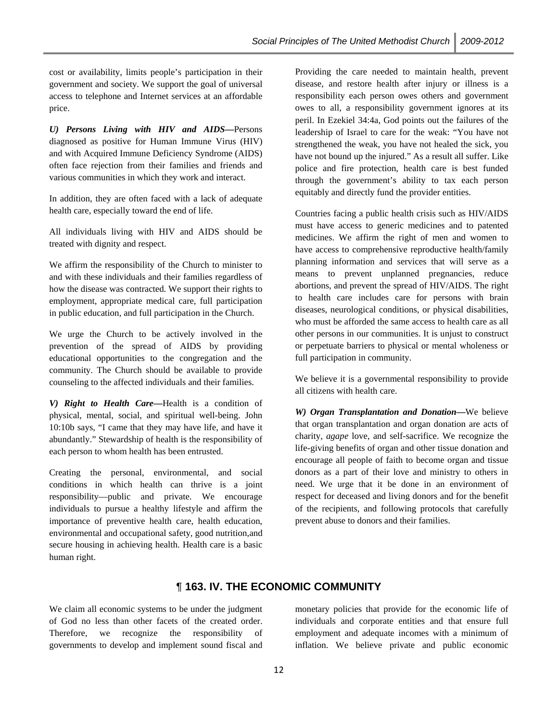cost or availability, limits people's participation in their government and society. We support the goal of universal access to telephone and Internet services at an affordable price.

*U) Persons Living with HIV and AIDS***—**Persons diagnosed as positive for Human Immune Virus (HIV) and with Acquired Immune Deficiency Syndrome (AIDS) often face rejection from their families and friends and various communities in which they work and interact.

In addition, they are often faced with a lack of adequate health care, especially toward the end of life.

All individuals living with HIV and AIDS should be treated with dignity and respect.

We affirm the responsibility of the Church to minister to and with these individuals and their families regardless of how the disease was contracted. We support their rights to employment, appropriate medical care, full participation in public education, and full participation in the Church.

We urge the Church to be actively involved in the prevention of the spread of AIDS by providing educational opportunities to the congregation and the community. The Church should be available to provide counseling to the affected individuals and their families.

*V) Right to Health Care***—**Health is a condition of physical, mental, social, and spiritual well-being. John 10:10b says, "I came that they may have life, and have it abundantly." Stewardship of health is the responsibility of each person to whom health has been entrusted.

Creating the personal, environmental, and social conditions in which health can thrive is a joint responsibility—public and private. We encourage individuals to pursue a healthy lifestyle and affirm the importance of preventive health care, health education, environmental and occupational safety, good nutrition,and secure housing in achieving health. Health care is a basic human right.

Providing the care needed to maintain health, prevent disease, and restore health after injury or illness is a responsibility each person owes others and government owes to all, a responsibility government ignores at its peril. In Ezekiel 34:4a, God points out the failures of the leadership of Israel to care for the weak: "You have not strengthened the weak, you have not healed the sick, you have not bound up the injured." As a result all suffer. Like police and fire protection, health care is best funded through the government's ability to tax each person equitably and directly fund the provider entities.

Countries facing a public health crisis such as HIV/AIDS must have access to generic medicines and to patented medicines. We affirm the right of men and women to have access to comprehensive reproductive health/family planning information and services that will serve as a means to prevent unplanned pregnancies, reduce abortions, and prevent the spread of HIV/AIDS. The right to health care includes care for persons with brain diseases, neurological conditions, or physical disabilities, who must be afforded the same access to health care as all other persons in our communities. It is unjust to construct or perpetuate barriers to physical or mental wholeness or full participation in community.

We believe it is a governmental responsibility to provide all citizens with health care.

*W) Organ Transplantation and Donation***—**We believe that organ transplantation and organ donation are acts of charity, *agape* love, and self-sacrifice. We recognize the life-giving benefits of organ and other tissue donation and encourage all people of faith to become organ and tissue donors as a part of their love and ministry to others in need. We urge that it be done in an environment of respect for deceased and living donors and for the benefit of the recipients, and following protocols that carefully prevent abuse to donors and their families.

#### ¶ **163. IV. THE ECONOMIC COMMUNITY**

We claim all economic systems to be under the judgment of God no less than other facets of the created order. Therefore, we recognize the responsibility of governments to develop and implement sound fiscal and

monetary policies that provide for the economic life of individuals and corporate entities and that ensure full employment and adequate incomes with a minimum of inflation. We believe private and public economic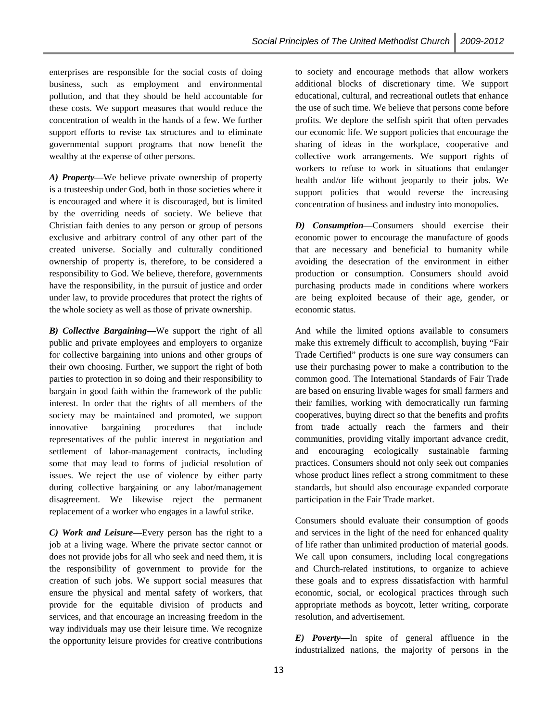enterprises are responsible for the social costs of doing business, such as employment and environmental pollution, and that they should be held accountable for these costs. We support measures that would reduce the concentration of wealth in the hands of a few. We further support efforts to revise tax structures and to eliminate governmental support programs that now benefit the wealthy at the expense of other persons.

*A) Property***—**We believe private ownership of property is a trusteeship under God, both in those societies where it is encouraged and where it is discouraged, but is limited by the overriding needs of society. We believe that Christian faith denies to any person or group of persons exclusive and arbitrary control of any other part of the created universe. Socially and culturally conditioned ownership of property is, therefore, to be considered a responsibility to God. We believe, therefore, governments have the responsibility, in the pursuit of justice and order under law, to provide procedures that protect the rights of the whole society as well as those of private ownership.

*B) Collective Bargaining***—**We support the right of all public and private employees and employers to organize for collective bargaining into unions and other groups of their own choosing. Further, we support the right of both parties to protection in so doing and their responsibility to bargain in good faith within the framework of the public interest. In order that the rights of all members of the society may be maintained and promoted, we support innovative bargaining procedures that include representatives of the public interest in negotiation and settlement of labor-management contracts, including some that may lead to forms of judicial resolution of issues. We reject the use of violence by either party during collective bargaining or any labor/management disagreement. We likewise reject the permanent replacement of a worker who engages in a lawful strike.

*C) Work and Leisure***—**Every person has the right to a job at a living wage. Where the private sector cannot or does not provide jobs for all who seek and need them, it is the responsibility of government to provide for the creation of such jobs. We support social measures that ensure the physical and mental safety of workers, that provide for the equitable division of products and services, and that encourage an increasing freedom in the way individuals may use their leisure time. We recognize the opportunity leisure provides for creative contributions

to society and encourage methods that allow workers additional blocks of discretionary time. We support educational, cultural, and recreational outlets that enhance the use of such time. We believe that persons come before profits. We deplore the selfish spirit that often pervades our economic life. We support policies that encourage the sharing of ideas in the workplace, cooperative and collective work arrangements. We support rights of workers to refuse to work in situations that endanger health and/or life without jeopardy to their jobs. We support policies that would reverse the increasing concentration of business and industry into monopolies.

*D) Consumption***—**Consumers should exercise their economic power to encourage the manufacture of goods that are necessary and beneficial to humanity while avoiding the desecration of the environment in either production or consumption. Consumers should avoid purchasing products made in conditions where workers are being exploited because of their age, gender, or economic status.

And while the limited options available to consumers make this extremely difficult to accomplish, buying "Fair Trade Certified" products is one sure way consumers can use their purchasing power to make a contribution to the common good. The International Standards of Fair Trade are based on ensuring livable wages for small farmers and their families, working with democratically run farming cooperatives, buying direct so that the benefits and profits from trade actually reach the farmers and their communities, providing vitally important advance credit, and encouraging ecologically sustainable farming practices. Consumers should not only seek out companies whose product lines reflect a strong commitment to these standards, but should also encourage expanded corporate participation in the Fair Trade market.

Consumers should evaluate their consumption of goods and services in the light of the need for enhanced quality of life rather than unlimited production of material goods. We call upon consumers, including local congregations and Church-related institutions, to organize to achieve these goals and to express dissatisfaction with harmful economic, social, or ecological practices through such appropriate methods as boycott, letter writing, corporate resolution, and advertisement.

*E) Poverty***—**In spite of general affluence in the industrialized nations, the majority of persons in the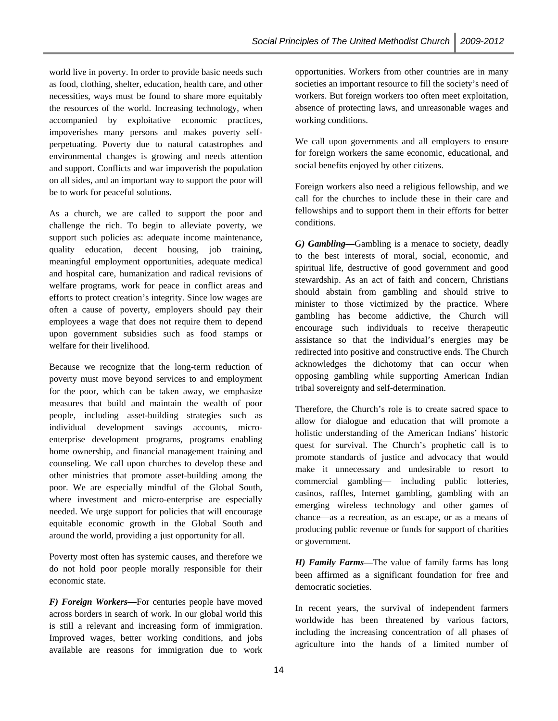world live in poverty. In order to provide basic needs such as food, clothing, shelter, education, health care, and other necessities, ways must be found to share more equitably the resources of the world. Increasing technology, when accompanied by exploitative economic practices, impoverishes many persons and makes poverty selfperpetuating. Poverty due to natural catastrophes and environmental changes is growing and needs attention and support. Conflicts and war impoverish the population on all sides, and an important way to support the poor will be to work for peaceful solutions.

As a church, we are called to support the poor and challenge the rich. To begin to alleviate poverty, we support such policies as: adequate income maintenance, quality education, decent housing, job training, meaningful employment opportunities, adequate medical and hospital care, humanization and radical revisions of welfare programs, work for peace in conflict areas and efforts to protect creation's integrity. Since low wages are often a cause of poverty, employers should pay their employees a wage that does not require them to depend upon government subsidies such as food stamps or welfare for their livelihood.

Because we recognize that the long-term reduction of poverty must move beyond services to and employment for the poor, which can be taken away, we emphasize measures that build and maintain the wealth of poor people, including asset-building strategies such as individual development savings accounts, microenterprise development programs, programs enabling home ownership, and financial management training and counseling. We call upon churches to develop these and other ministries that promote asset-building among the poor. We are especially mindful of the Global South, where investment and micro-enterprise are especially needed. We urge support for policies that will encourage equitable economic growth in the Global South and around the world, providing a just opportunity for all.

Poverty most often has systemic causes, and therefore we do not hold poor people morally responsible for their economic state.

*F) Foreign Workers***—**For centuries people have moved across borders in search of work. In our global world this is still a relevant and increasing form of immigration. Improved wages, better working conditions, and jobs available are reasons for immigration due to work

opportunities. Workers from other countries are in many societies an important resource to fill the society's need of workers. But foreign workers too often meet exploitation, absence of protecting laws, and unreasonable wages and working conditions.

We call upon governments and all employers to ensure for foreign workers the same economic, educational, and social benefits enjoyed by other citizens.

Foreign workers also need a religious fellowship, and we call for the churches to include these in their care and fellowships and to support them in their efforts for better conditions.

*G) Gambling***—**Gambling is a menace to society, deadly to the best interests of moral, social, economic, and spiritual life, destructive of good government and good stewardship. As an act of faith and concern, Christians should abstain from gambling and should strive to minister to those victimized by the practice. Where gambling has become addictive, the Church will encourage such individuals to receive therapeutic assistance so that the individual's energies may be redirected into positive and constructive ends. The Church acknowledges the dichotomy that can occur when opposing gambling while supporting American Indian tribal sovereignty and self-determination.

Therefore, the Church's role is to create sacred space to allow for dialogue and education that will promote a holistic understanding of the American Indians' historic quest for survival. The Church's prophetic call is to promote standards of justice and advocacy that would make it unnecessary and undesirable to resort to commercial gambling— including public lotteries, casinos, raffles, Internet gambling, gambling with an emerging wireless technology and other games of chance—as a recreation, as an escape, or as a means of producing public revenue or funds for support of charities or government.

*H) Family Farms***—**The value of family farms has long been affirmed as a significant foundation for free and democratic societies.

In recent years, the survival of independent farmers worldwide has been threatened by various factors, including the increasing concentration of all phases of agriculture into the hands of a limited number of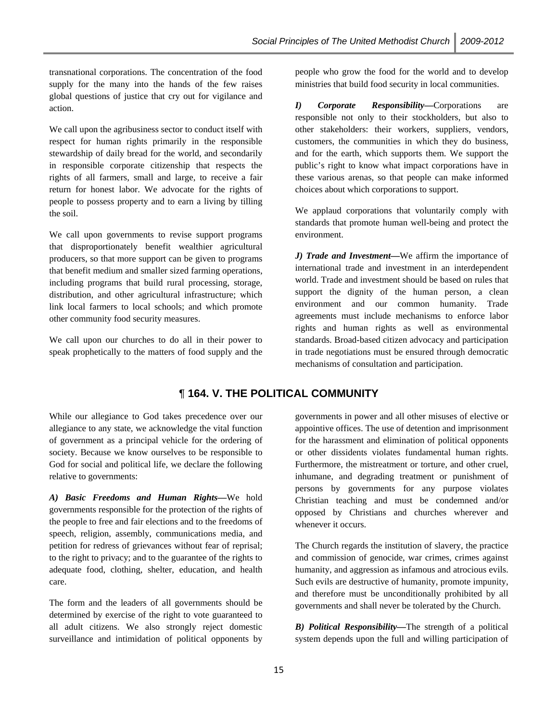transnational corporations. The concentration of the food supply for the many into the hands of the few raises global questions of justice that cry out for vigilance and action.

We call upon the agribusiness sector to conduct itself with respect for human rights primarily in the responsible stewardship of daily bread for the world, and secondarily in responsible corporate citizenship that respects the rights of all farmers, small and large, to receive a fair return for honest labor. We advocate for the rights of people to possess property and to earn a living by tilling the soil.

We call upon governments to revise support programs that disproportionately benefit wealthier agricultural producers, so that more support can be given to programs that benefit medium and smaller sized farming operations, including programs that build rural processing, storage, distribution, and other agricultural infrastructure; which link local farmers to local schools; and which promote other community food security measures.

We call upon our churches to do all in their power to speak prophetically to the matters of food supply and the

people who grow the food for the world and to develop ministries that build food security in local communities.

*I) Corporate Responsibility***—**Corporations are responsible not only to their stockholders, but also to other stakeholders: their workers, suppliers, vendors, customers, the communities in which they do business, and for the earth, which supports them. We support the public's right to know what impact corporations have in these various arenas, so that people can make informed choices about which corporations to support.

We applaud corporations that voluntarily comply with standards that promote human well-being and protect the environment.

*J) Trade and Investment—*We affirm the importance of international trade and investment in an interdependent world. Trade and investment should be based on rules that support the dignity of the human person, a clean environment and our common humanity. Trade agreements must include mechanisms to enforce labor rights and human rights as well as environmental standards. Broad-based citizen advocacy and participation in trade negotiations must be ensured through democratic mechanisms of consultation and participation.

#### ¶ **164. V. THE POLITICAL COMMUNITY**

While our allegiance to God takes precedence over our allegiance to any state, we acknowledge the vital function of government as a principal vehicle for the ordering of society. Because we know ourselves to be responsible to God for social and political life, we declare the following relative to governments:

*A) Basic Freedoms and Human Rights***—**We hold governments responsible for the protection of the rights of the people to free and fair elections and to the freedoms of speech, religion, assembly, communications media, and petition for redress of grievances without fear of reprisal; to the right to privacy; and to the guarantee of the rights to adequate food, clothing, shelter, education, and health care.

The form and the leaders of all governments should be determined by exercise of the right to vote guaranteed to all adult citizens. We also strongly reject domestic surveillance and intimidation of political opponents by governments in power and all other misuses of elective or appointive offices. The use of detention and imprisonment for the harassment and elimination of political opponents or other dissidents violates fundamental human rights. Furthermore, the mistreatment or torture, and other cruel, inhumane, and degrading treatment or punishment of persons by governments for any purpose violates Christian teaching and must be condemned and/or opposed by Christians and churches wherever and whenever it occurs.

The Church regards the institution of slavery, the practice and commission of genocide, war crimes, crimes against humanity, and aggression as infamous and atrocious evils. Such evils are destructive of humanity, promote impunity, and therefore must be unconditionally prohibited by all governments and shall never be tolerated by the Church.

*B) Political Responsibility***—**The strength of a political system depends upon the full and willing participation of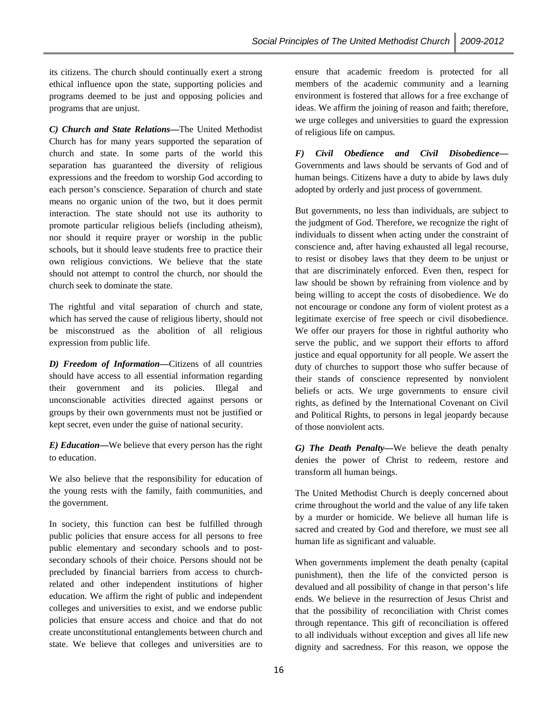its citizens. The church should continually exert a strong ethical influence upon the state, supporting policies and programs deemed to be just and opposing policies and programs that are unjust.

*C) Church and State Relations—*The United Methodist Church has for many years supported the separation of church and state. In some parts of the world this separation has guaranteed the diversity of religious expressions and the freedom to worship God according to each person's conscience. Separation of church and state means no organic union of the two, but it does permit interaction. The state should not use its authority to promote particular religious beliefs (including atheism), nor should it require prayer or worship in the public schools, but it should leave students free to practice their own religious convictions. We believe that the state should not attempt to control the church, nor should the church seek to dominate the state.

The rightful and vital separation of church and state, which has served the cause of religious liberty, should not be misconstrued as the abolition of all religious expression from public life.

*D) Freedom of Information***—**Citizens of all countries should have access to all essential information regarding their government and its policies. Illegal and unconscionable activities directed against persons or groups by their own governments must not be justified or kept secret, even under the guise of national security.

*E) Education***—**We believe that every person has the right to education.

We also believe that the responsibility for education of the young rests with the family, faith communities, and the government.

In society, this function can best be fulfilled through public policies that ensure access for all persons to free public elementary and secondary schools and to postsecondary schools of their choice. Persons should not be precluded by financial barriers from access to churchrelated and other independent institutions of higher education. We affirm the right of public and independent colleges and universities to exist, and we endorse public policies that ensure access and choice and that do not create unconstitutional entanglements between church and state. We believe that colleges and universities are to

ensure that academic freedom is protected for all members of the academic community and a learning environment is fostered that allows for a free exchange of ideas. We affirm the joining of reason and faith; therefore, we urge colleges and universities to guard the expression of religious life on campus.

*F) Civil Obedience and Civil Disobedience***—** Governments and laws should be servants of God and of human beings. Citizens have a duty to abide by laws duly adopted by orderly and just process of government.

But governments, no less than individuals, are subject to the judgment of God. Therefore, we recognize the right of individuals to dissent when acting under the constraint of conscience and, after having exhausted all legal recourse, to resist or disobey laws that they deem to be unjust or that are discriminately enforced. Even then, respect for law should be shown by refraining from violence and by being willing to accept the costs of disobedience. We do not encourage or condone any form of violent protest as a legitimate exercise of free speech or civil disobedience. We offer our prayers for those in rightful authority who serve the public, and we support their efforts to afford justice and equal opportunity for all people. We assert the duty of churches to support those who suffer because of their stands of conscience represented by nonviolent beliefs or acts. We urge governments to ensure civil rights, as defined by the International Covenant on Civil and Political Rights, to persons in legal jeopardy because of those nonviolent acts.

*G) The Death Penalty***—**We believe the death penalty denies the power of Christ to redeem, restore and transform all human beings.

The United Methodist Church is deeply concerned about crime throughout the world and the value of any life taken by a murder or homicide. We believe all human life is sacred and created by God and therefore, we must see all human life as significant and valuable.

When governments implement the death penalty (capital punishment), then the life of the convicted person is devalued and all possibility of change in that person's life ends. We believe in the resurrection of Jesus Christ and that the possibility of reconciliation with Christ comes through repentance. This gift of reconciliation is offered to all individuals without exception and gives all life new dignity and sacredness. For this reason, we oppose the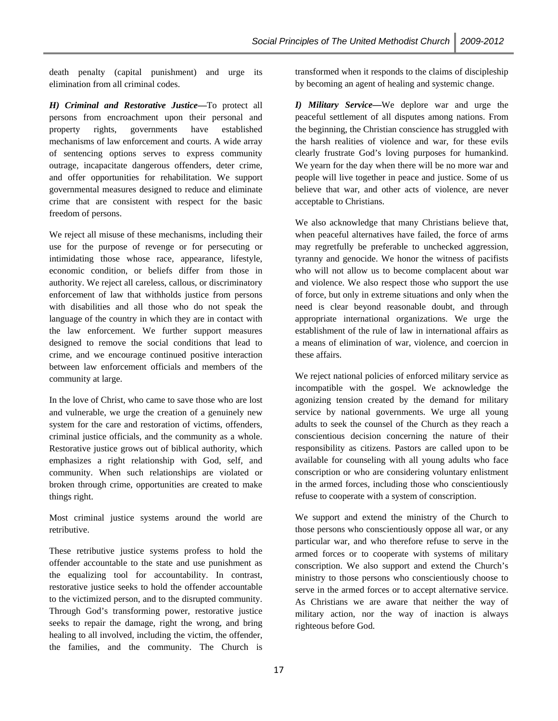death penalty (capital punishment) and urge its elimination from all criminal codes.

*H) Criminal and Restorative Justice***—**To protect all persons from encroachment upon their personal and property rights, governments have established mechanisms of law enforcement and courts. A wide array of sentencing options serves to express community outrage, incapacitate dangerous offenders, deter crime, and offer opportunities for rehabilitation. We support governmental measures designed to reduce and eliminate crime that are consistent with respect for the basic freedom of persons.

We reject all misuse of these mechanisms, including their use for the purpose of revenge or for persecuting or intimidating those whose race, appearance, lifestyle, economic condition, or beliefs differ from those in authority. We reject all careless, callous, or discriminatory enforcement of law that withholds justice from persons with disabilities and all those who do not speak the language of the country in which they are in contact with the law enforcement. We further support measures designed to remove the social conditions that lead to crime, and we encourage continued positive interaction between law enforcement officials and members of the community at large.

In the love of Christ, who came to save those who are lost and vulnerable, we urge the creation of a genuinely new system for the care and restoration of victims, offenders, criminal justice officials, and the community as a whole. Restorative justice grows out of biblical authority, which emphasizes a right relationship with God, self, and community. When such relationships are violated or broken through crime, opportunities are created to make things right.

Most criminal justice systems around the world are retributive.

These retributive justice systems profess to hold the offender accountable to the state and use punishment as the equalizing tool for accountability. In contrast, restorative justice seeks to hold the offender accountable to the victimized person, and to the disrupted community. Through God's transforming power, restorative justice seeks to repair the damage, right the wrong, and bring healing to all involved, including the victim, the offender, the families, and the community. The Church is

transformed when it responds to the claims of discipleship by becoming an agent of healing and systemic change.

*I) Military Service***—**We deplore war and urge the peaceful settlement of all disputes among nations. From the beginning, the Christian conscience has struggled with the harsh realities of violence and war, for these evils clearly frustrate God's loving purposes for humankind. We yearn for the day when there will be no more war and people will live together in peace and justice. Some of us believe that war, and other acts of violence, are never acceptable to Christians.

We also acknowledge that many Christians believe that, when peaceful alternatives have failed, the force of arms may regretfully be preferable to unchecked aggression, tyranny and genocide. We honor the witness of pacifists who will not allow us to become complacent about war and violence. We also respect those who support the use of force, but only in extreme situations and only when the need is clear beyond reasonable doubt, and through appropriate international organizations. We urge the establishment of the rule of law in international affairs as a means of elimination of war, violence, and coercion in these affairs.

We reject national policies of enforced military service as incompatible with the gospel. We acknowledge the agonizing tension created by the demand for military service by national governments. We urge all young adults to seek the counsel of the Church as they reach a conscientious decision concerning the nature of their responsibility as citizens. Pastors are called upon to be available for counseling with all young adults who face conscription or who are considering voluntary enlistment in the armed forces, including those who conscientiously refuse to cooperate with a system of conscription.

We support and extend the ministry of the Church to those persons who conscientiously oppose all war, or any particular war, and who therefore refuse to serve in the armed forces or to cooperate with systems of military conscription. We also support and extend the Church's ministry to those persons who conscientiously choose to serve in the armed forces or to accept alternative service. As Christians we are aware that neither the way of military action, nor the way of inaction is always righteous before God.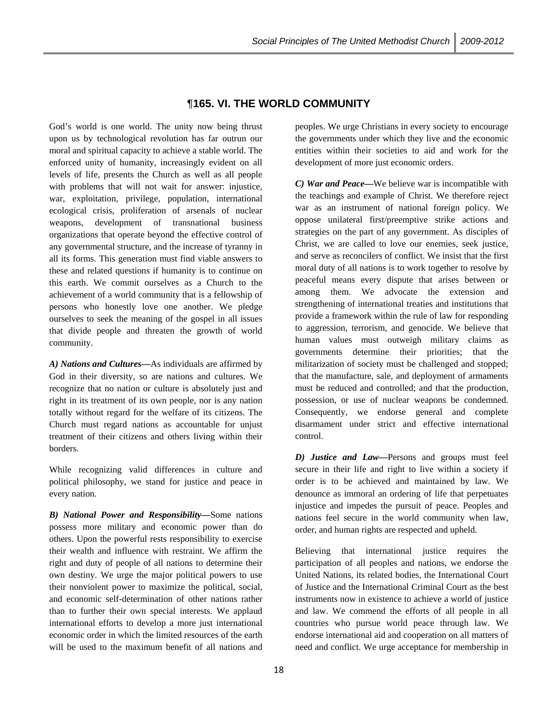#### ¶**165. VI. THE WORLD COMMUNITY**

God's world is one world. The unity now being thrust upon us by technological revolution has far outrun our moral and spiritual capacity to achieve a stable world. The enforced unity of humanity, increasingly evident on all levels of life, presents the Church as well as all people with problems that will not wait for answer: injustice, war, exploitation, privilege, population, international ecological crisis, proliferation of arsenals of nuclear weapons, development of transnational business organizations that operate beyond the effective control of any governmental structure, and the increase of tyranny in all its forms. This generation must find viable answers to these and related questions if humanity is to continue on this earth. We commit ourselves as a Church to the achievement of a world community that is a fellowship of persons who honestly love one another. We pledge ourselves to seek the meaning of the gospel in all issues that divide people and threaten the growth of world community.

*A) Nations and Cultures***—**As individuals are affirmed by God in their diversity, so are nations and cultures. We recognize that no nation or culture is absolutely just and right in its treatment of its own people, nor is any nation totally without regard for the welfare of its citizens. The Church must regard nations as accountable for unjust treatment of their citizens and others living within their borders.

While recognizing valid differences in culture and political philosophy, we stand for justice and peace in every nation.

*B) National Power and Responsibility***—**Some nations possess more military and economic power than do others. Upon the powerful rests responsibility to exercise their wealth and influence with restraint. We affirm the right and duty of people of all nations to determine their own destiny. We urge the major political powers to use their nonviolent power to maximize the political, social, and economic self-determination of other nations rather than to further their own special interests. We applaud international efforts to develop a more just international economic order in which the limited resources of the earth will be used to the maximum benefit of all nations and peoples. We urge Christians in every society to encourage the governments under which they live and the economic entities within their societies to aid and work for the development of more just economic orders.

*C) War and Peace***—**We believe war is incompatible with the teachings and example of Christ. We therefore reject war as an instrument of national foreign policy. We oppose unilateral first/preemptive strike actions and strategies on the part of any government. As disciples of Christ, we are called to love our enemies, seek justice, and serve as reconcilers of conflict. We insist that the first moral duty of all nations is to work together to resolve by peaceful means every dispute that arises between or among them. We advocate the extension and strengthening of international treaties and institutions that provide a framework within the rule of law for responding to aggression, terrorism, and genocide. We believe that human values must outweigh military claims as governments determine their priorities; that the militarization of society must be challenged and stopped; that the manufacture, sale, and deployment of armaments must be reduced and controlled; and that the production, possession, or use of nuclear weapons be condemned. Consequently, we endorse general and complete disarmament under strict and effective international control.

*D) Justice and Law***—**Persons and groups must feel secure in their life and right to live within a society if order is to be achieved and maintained by law. We denounce as immoral an ordering of life that perpetuates injustice and impedes the pursuit of peace. Peoples and nations feel secure in the world community when law, order, and human rights are respected and upheld.

Believing that international justice requires the participation of all peoples and nations, we endorse the United Nations, its related bodies, the International Court of Justice and the International Criminal Court as the best instruments now in existence to achieve a world of justice and law. We commend the efforts of all people in all countries who pursue world peace through law. We endorse international aid and cooperation on all matters of need and conflict. We urge acceptance for membership in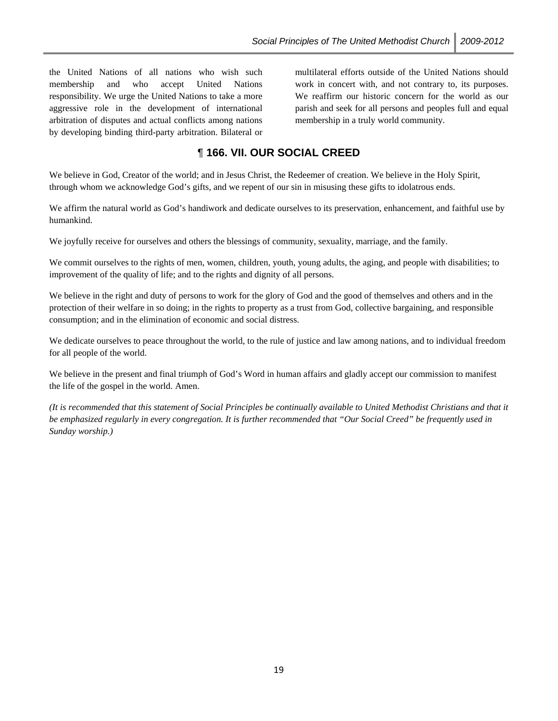the United Nations of all nations who wish such membership and who accept United Nations responsibility. We urge the United Nations to take a more aggressive role in the development of international arbitration of disputes and actual conflicts among nations by developing binding third-party arbitration. Bilateral or multilateral efforts outside of the United Nations should work in concert with, and not contrary to, its purposes. We reaffirm our historic concern for the world as our parish and seek for all persons and peoples full and equal membership in a truly world community.

#### ¶ **166. VII. OUR SOCIAL CREED**

We believe in God, Creator of the world; and in Jesus Christ, the Redeemer of creation. We believe in the Holy Spirit, through whom we acknowledge God's gifts, and we repent of our sin in misusing these gifts to idolatrous ends.

We affirm the natural world as God's handiwork and dedicate ourselves to its preservation, enhancement, and faithful use by humankind.

We joyfully receive for ourselves and others the blessings of community, sexuality, marriage, and the family.

We commit ourselves to the rights of men, women, children, youth, young adults, the aging, and people with disabilities; to improvement of the quality of life; and to the rights and dignity of all persons.

We believe in the right and duty of persons to work for the glory of God and the good of themselves and others and in the protection of their welfare in so doing; in the rights to property as a trust from God, collective bargaining, and responsible consumption; and in the elimination of economic and social distress.

We dedicate ourselves to peace throughout the world, to the rule of justice and law among nations, and to individual freedom for all people of the world.

We believe in the present and final triumph of God's Word in human affairs and gladly accept our commission to manifest the life of the gospel in the world. Amen.

*(It is recommended that this statement of Social Principles be continually available to United Methodist Christians and that it be emphasized regularly in every congregation. It is further recommended that "Our Social Creed" be frequently used in Sunday worship.)*